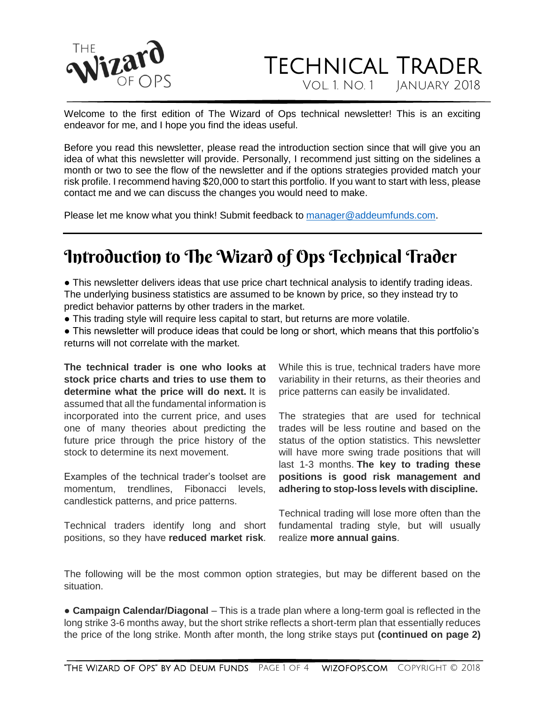

### Technical Trader Vol. 1. No. 1 January 2018

Welcome to the first edition of The Wizard of Ops technical newsletter! This is an exciting endeavor for me, and I hope you find the ideas useful.

Before you read this newsletter, please read the introduction section since that will give you an idea of what this newsletter will provide. Personally, I recommend just sitting on the sidelines a month or two to see the flow of the newsletter and if the options strategies provided match your risk profile. I recommend having \$20,000 to start this portfolio. If you want to start with less, please contact me and we can discuss the changes you would need to make.

Please let me know what you think! Submit feedback to [manager@addeumfunds.com.](mailto:manager@addeumfunds.com)

# Introduction to The Wizard of Ops Technical Trader

● This newsletter delivers ideas that use price chart technical analysis to identify trading ideas. The underlying business statistics are assumed to be known by price, so they instead try to predict behavior patterns by other traders in the market.

• This trading style will require less capital to start, but returns are more volatile.

• This newsletter will produce ideas that could be long or short, which means that this portfolio's returns will not correlate with the market.

**The technical trader is one who looks at stock price charts and tries to use them to determine what the price will do next.** It is assumed that all the fundamental information is incorporated into the current price, and uses one of many theories about predicting the future price through the price history of the stock to determine its next movement.

Examples of the technical trader's toolset are momentum, trendlines, Fibonacci levels, candlestick patterns, and price patterns.

Technical traders identify long and short positions, so they have **reduced market risk**.

While this is true, technical traders have more variability in their returns, as their theories and price patterns can easily be invalidated.

The strategies that are used for technical trades will be less routine and based on the status of the option statistics. This newsletter will have more swing trade positions that will last 1-3 months. **The key to trading these positions is good risk management and adhering to stop-loss levels with discipline.**

Technical trading will lose more often than the fundamental trading style, but will usually realize **more annual gains**.

The following will be the most common option strategies, but may be different based on the situation.

● **Campaign Calendar/Diagonal** – This is a trade plan where a long-term goal is reflected in the long strike 3-6 months away, but the short strike reflects a short-term plan that essentially reduces the price of the long strike. Month after month, the long strike stays put **(continued on page 2)**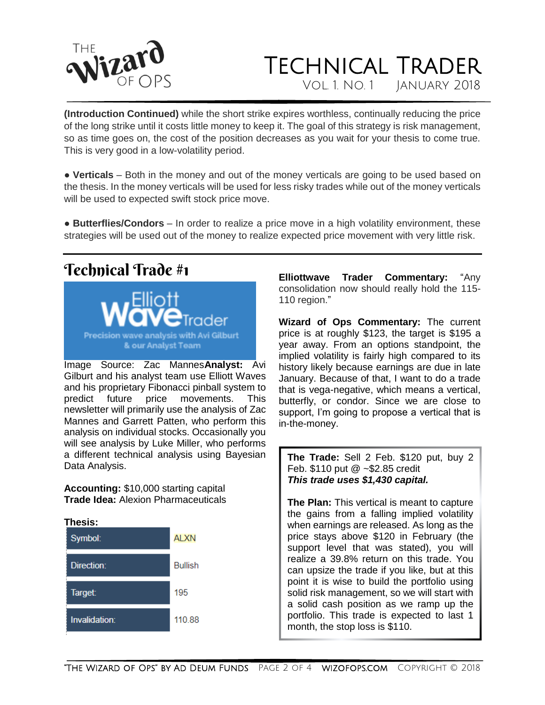

## Technical Trader Vol. 1. No. 1 January 2018

**(Introduction Continued)** while the short strike expires worthless, continually reducing the price of the long strike until it costs little money to keep it. The goal of this strategy is risk management, so as time goes on, the cost of the position decreases as you wait for your thesis to come true. This is very good in a low-volatility period.

• **Verticals** – Both in the money and out of the money verticals are going to be used based on the thesis. In the money verticals will be used for less risky trades while out of the money verticals will be used to expected swift stock price move.

● **Butterflies/Condors** – In order to realize a price move in a high volatility environment, these strategies will be used out of the money to realize expected price movement with very little risk.

### Technical Trade #1



Image Source: Zac Mannes**Analyst:** Avi Gilburt and his analyst team use Elliott Waves and his proprietary Fibonacci pinball system to predict future price movements. This newsletter will primarily use the analysis of Zac Mannes and Garrett Patten, who perform this analysis on individual stocks. Occasionally you will see analysis by Luke Miller, who performs a different technical analysis using Bayesian Data Analysis.

**Accounting:** \$10,000 starting capital **Trade Idea:** Alexion Pharmaceuticals



**Elliottwave Trader Commentary:** "Any consolidation now should really hold the 115- 110 region."

**Wizard of Ops Commentary:** The current price is at roughly \$123, the target is \$195 a year away. From an options standpoint, the implied volatility is fairly high compared to its history likely because earnings are due in late January. Because of that, I want to do a trade that is vega-negative, which means a vertical, butterfly, or condor. Since we are close to support, I'm going to propose a vertical that is in-the-money.

**The Trade:** Sell 2 Feb. \$120 put, buy 2 Feb. \$110 put @ ~\$2.85 credit *This trade uses \$1,430 capital.*

**The Plan:** This vertical is meant to capture the gains from a falling implied volatility when earnings are released. As long as the price stays above \$120 in February (the support level that was stated), you will realize a 39.8% return on this trade. You can upsize the trade if you like, but at this point it is wise to build the portfolio using solid risk management, so we will start with a solid cash position as we ramp up the portfolio. This trade is expected to last 1 month, the stop loss is \$110.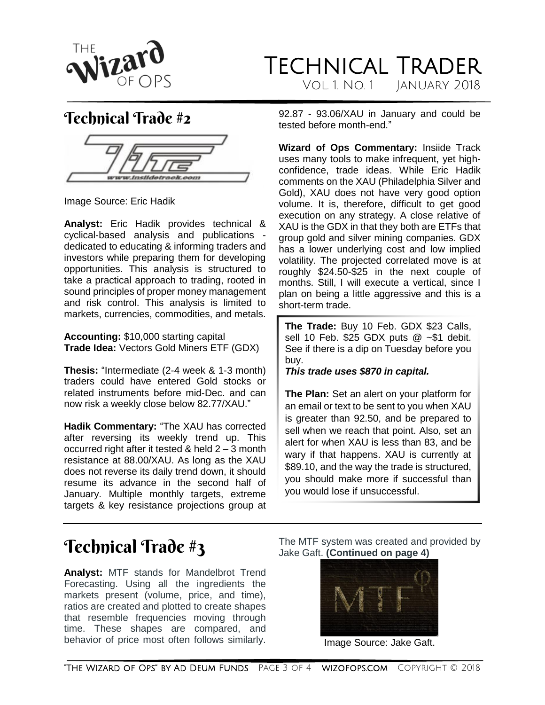

#### Technical Trader Vol. 1. No. 1 January 2018

#### Technical Trade #2

Image Source: Eric Hadik

**Analyst:** Eric Hadik provides technical & cyclical-based analysis and publications dedicated to educating & informing traders and investors while preparing them for developing opportunities. This analysis is structured to take a practical approach to trading, rooted in sound principles of proper money management and risk control. This analysis is limited to markets, currencies, commodities, and metals.

**Accounting:** \$10,000 starting capital **Trade Idea:** Vectors Gold Miners ETF (GDX)

**Thesis:** "Intermediate (2-4 week & 1-3 month) traders could have entered Gold stocks or related instruments before mid-Dec. and can now risk a weekly close below 82.77/XAU."

**Hadik Commentary:** "The XAU has corrected after reversing its weekly trend up. This occurred right after it tested & held 2 – 3 month resistance at 88.00/XAU. As long as the XAU does not reverse its daily trend down, it should resume its advance in the second half of January. Multiple monthly targets, extreme targets & key resistance projections group at 92.87 - 93.06/XAU in January and could be tested before month-end."

**Wizard of Ops Commentary:** Insiide Track uses many tools to make infrequent, yet highconfidence, trade ideas. While Eric Hadik comments on the XAU (Philadelphia Silver and Gold), XAU does not have very good option volume. It is, therefore, difficult to get good execution on any strategy. A close relative of XAU is the GDX in that they both are ETFs that group gold and silver mining companies. GDX has a lower underlying cost and low implied volatility. The projected correlated move is at roughly \$24.50-\$25 in the next couple of months. Still, I will execute a vertical, since I plan on being a little aggressive and this is a short-term trade.

**The Trade:** Buy 10 Feb. GDX \$23 Calls, sell 10 Feb. \$25 GDX puts @ ~\$1 debit. See if there is a dip on Tuesday before you buy.

*This trade uses \$870 in capital.*

**The Plan:** Set an alert on your platform for an email or text to be sent to you when XAU is greater than 92.50, and be prepared to sell when we reach that point. Also, set an alert for when XAU is less than 83, and be wary if that happens. XAU is currently at \$89.10, and the way the trade is structured, you should make more if successful than you would lose if unsuccessful.

# Technical Trade #3

**Analyst:** MTF stands for Mandelbrot Trend Forecasting. Using all the ingredients the markets present (volume, price, and time), ratios are created and plotted to create shapes that resemble frequencies moving through time. These shapes are compared, and behavior of price most often follows similarly.

The MTF system was created and provided by Jake Gaft. **(Continued on page 4)**



Image Source: Jake Gaft.